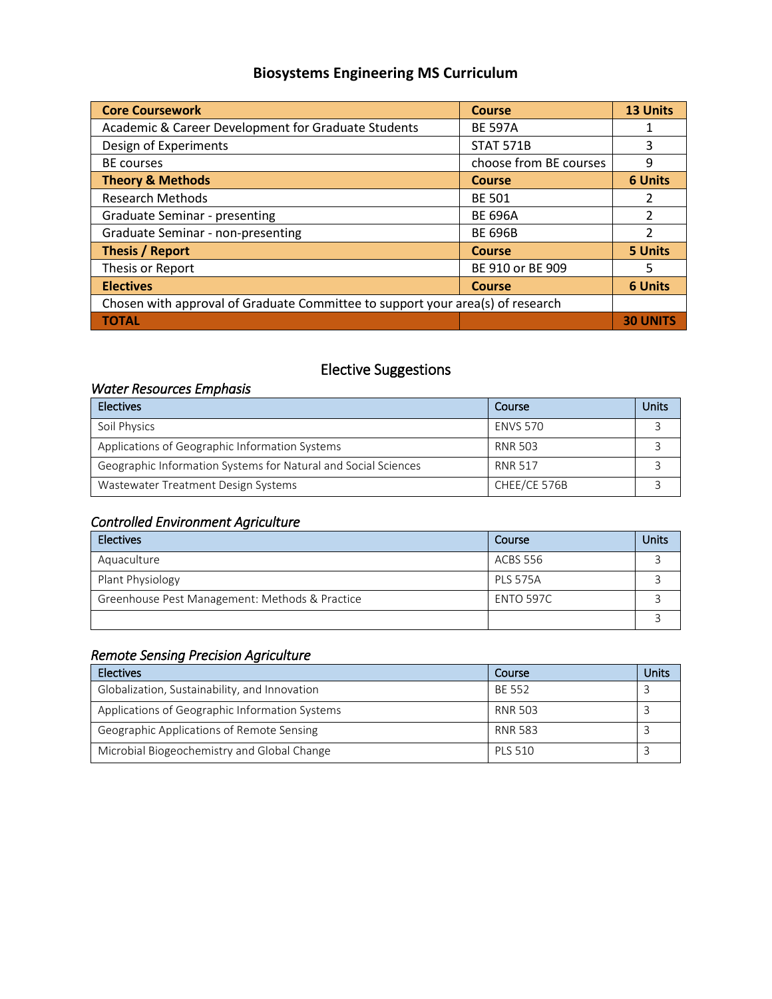# **Biosystems Engineering MS Curriculum**

| <b>Core Coursework</b>                                                         | <b>Course</b>          | 13 Units                 |  |
|--------------------------------------------------------------------------------|------------------------|--------------------------|--|
| Academic & Career Development for Graduate Students                            | <b>BE 597A</b>         |                          |  |
| Design of Experiments                                                          | <b>STAT 571B</b>       | 3                        |  |
| <b>BE</b> courses                                                              | choose from BE courses | 9                        |  |
| <b>Theory &amp; Methods</b>                                                    | <b>Course</b>          | <b>6 Units</b>           |  |
| <b>Research Methods</b>                                                        | <b>BE 501</b>          | 2                        |  |
| Graduate Seminar - presenting                                                  | <b>BE 696A</b>         | 2                        |  |
| Graduate Seminar - non-presenting                                              | <b>BE 696B</b>         | $\overline{\mathcal{L}}$ |  |
| <b>Thesis / Report</b>                                                         | <b>Course</b>          | <b>5 Units</b>           |  |
| Thesis or Report                                                               | BE 910 or BE 909       | 5                        |  |
| <b>Electives</b>                                                               | <b>Course</b>          | <b>6 Units</b>           |  |
| Chosen with approval of Graduate Committee to support your area(s) of research |                        |                          |  |
| <b>TOTAL</b>                                                                   |                        |                          |  |

## Elective Suggestions

### *Water Resources Emphasis*

| <b>Electives</b>                                               | Course          | Units |
|----------------------------------------------------------------|-----------------|-------|
| Soil Physics                                                   | <b>ENVS 570</b> |       |
| Applications of Geographic Information Systems                 | <b>RNR 503</b>  |       |
| Geographic Information Systems for Natural and Social Sciences | <b>RNR 517</b>  |       |
| Wastewater Treatment Design Systems                            | CHEE/CE 576B    |       |

### *Controlled Environment Agriculture*

| <b>Electives</b>                               | Course           | Units |
|------------------------------------------------|------------------|-------|
| Aquaculture                                    | ACBS 556         |       |
| Plant Physiology                               | <b>PLS 575A</b>  |       |
| Greenhouse Pest Management: Methods & Practice | <b>ENTO 597C</b> |       |
|                                                |                  |       |

## *Remote Sensing Precision Agriculture*

| <b>Electives</b>                               | Course         | Units |
|------------------------------------------------|----------------|-------|
| Globalization, Sustainability, and Innovation  | BE 552         |       |
| Applications of Geographic Information Systems | RNR 503        |       |
| Geographic Applications of Remote Sensing      | RNR 583        |       |
| Microbial Biogeochemistry and Global Change    | <b>PLS 510</b> |       |